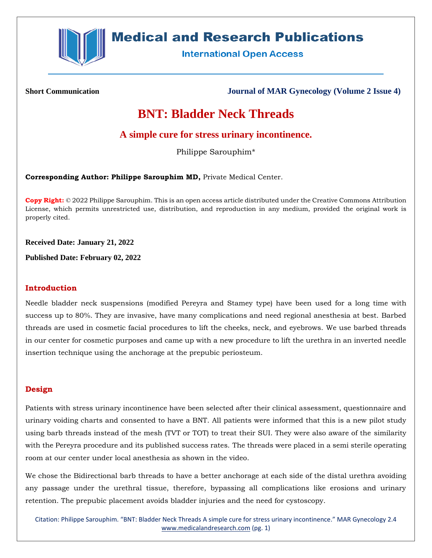

# **Medical and Research Publications**

**International Open Access** 

**Short Communication Journal of MAR Gynecology (Volume 2 Issue 4)**

## **BNT: Bladder Neck Threads**

## **A simple cure for stress urinary incontinence.**

Philippe Sarouphim\*

**Corresponding Author: Philippe Sarouphim MD,** Private Medical Center.

**Copy Right:** © 2022 Philippe Sarouphim. This is an open access article distributed under the Creative Commons Attribution License, which permits unrestricted use, distribution, and reproduction in any medium, provided the original work is properly cited.

**Received Date: January 21, 2022**

**Published Date: February 02, 2022**

#### **Introduction**

Needle bladder neck suspensions (modified Pereyra and Stamey type) have been used for a long time with success up to 80%. They are invasive, have many complications and need regional anesthesia at best. Barbed threads are used in cosmetic facial procedures to lift the cheeks, neck, and eyebrows. We use barbed threads in our center for cosmetic purposes and came up with a new procedure to lift the urethra in an inverted needle insertion technique using the anchorage at the prepubic periosteum.

### **Design**

Patients with stress urinary incontinence have been selected after their clinical assessment, questionnaire and urinary voiding charts and consented to have a BNT. All patients were informed that this is a new pilot study using barb threads instead of the mesh (TVT or TOT) to treat their SUI. They were also aware of the similarity with the Pereyra procedure and its published success rates. The threads were placed in a semi sterile operating room at our center under local anesthesia as shown in the video.

We chose the Bidirectional barb threads to have a better anchorage at each side of the distal urethra avoiding any passage under the urethral tissue, therefore, bypassing all complications like erosions and urinary retention. The prepubic placement avoids bladder injuries and the need for cystoscopy.

Citation: Philippe Sarouphim. "BNT: Bladder Neck Threads A simple cure for stress urinary incontinence." MAR Gynecology 2.4 [www.medicalandresearch.com](http://www.medicalandresearch.com/) (pg. 1)